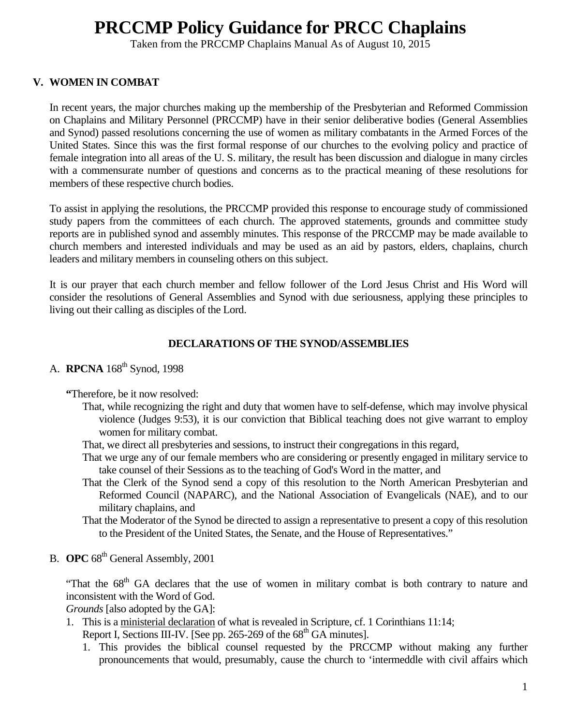# **PRCCMP Policy Guidance for PRCC Chaplains**

Taken from the PRCCMP Chaplains Manual As of August 10, 2015

# **V. WOMEN IN COMBAT**

In recent years, the major churches making up the membership of the Presbyterian and Reformed Commission on Chaplains and Military Personnel (PRCCMP) have in their senior deliberative bodies (General Assemblies and Synod) passed resolutions concerning the use of women as military combatants in the Armed Forces of the United States. Since this was the first formal response of our churches to the evolving policy and practice of female integration into all areas of the U. S. military, the result has been discussion and dialogue in many circles with a commensurate number of questions and concerns as to the practical meaning of these resolutions for members of these respective church bodies.

To assist in applying the resolutions, the PRCCMP provided this response to encourage study of commissioned study papers from the committees of each church. The approved statements, grounds and committee study reports are in published synod and assembly minutes. This response of the PRCCMP may be made available to church members and interested individuals and may be used as an aid by pastors, elders, chaplains, church leaders and military members in counseling others on this subject.

It is our prayer that each church member and fellow follower of the Lord Jesus Christ and His Word will consider the resolutions of General Assemblies and Synod with due seriousness, applying these principles to living out their calling as disciples of the Lord.

# **DECLARATIONS OF THE SYNOD/ASSEMBLIES**

# A. **RPCNA** 168<sup>th</sup> Synod, 1998

- **"**Therefore, be it now resolved:
	- That, while recognizing the right and duty that women have to self-defense, which may involve physical violence (Judges 9:53), it is our conviction that Biblical teaching does not give warrant to employ women for military combat.
	- That, we direct all presbyteries and sessions, to instruct their congregations in this regard,
	- That we urge any of our female members who are considering or presently engaged in military service to take counsel of their Sessions as to the teaching of God's Word in the matter, and
	- That the Clerk of the Synod send a copy of this resolution to the North American Presbyterian and Reformed Council (NAPARC), and the National Association of Evangelicals (NAE), and to our military chaplains, and
	- That the Moderator of the Synod be directed to assign a representative to present a copy of this resolution to the President of the United States, the Senate, and the House of Representatives."
- B. **OPC** 68<sup>th</sup> General Assembly, 2001

"That the 68<sup>th</sup> GA declares that the use of women in military combat is both contrary to nature and inconsistent with the Word of God.

*Grounds* [also adopted by the GA]:

1. This is a ministerial declaration of what is revealed in Scripture, cf. 1 Corinthians 11:14;

Report I, Sections III-IV. [See pp. 265-269 of the  $68<sup>th</sup>$  GA minutes].

1. This provides the biblical counsel requested by the PRCCMP without making any further pronouncements that would, presumably, cause the church to 'intermeddle with civil affairs which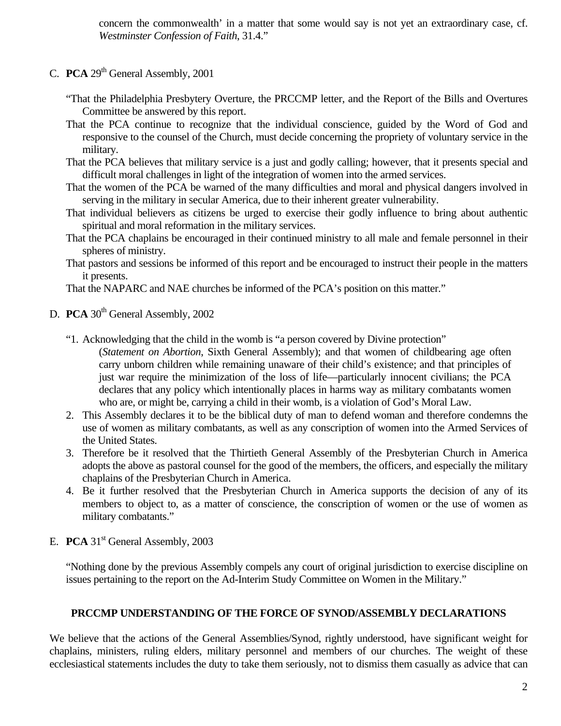concern the commonwealth' in a matter that some would say is not yet an extraordinary case, cf. *Westminster Confession of Faith*, 31.4."

- C. **PCA** 29<sup>th</sup> General Assembly, 2001
	- "That the Philadelphia Presbytery Overture, the PRCCMP letter, and the Report of the Bills and Overtures Committee be answered by this report.
	- That the PCA continue to recognize that the individual conscience, guided by the Word of God and responsive to the counsel of the Church, must decide concerning the propriety of voluntary service in the military.
	- That the PCA believes that military service is a just and godly calling; however, that it presents special and difficult moral challenges in light of the integration of women into the armed services.
	- That the women of the PCA be warned of the many difficulties and moral and physical dangers involved in serving in the military in secular America, due to their inherent greater vulnerability.
	- That individual believers as citizens be urged to exercise their godly influence to bring about authentic spiritual and moral reformation in the military services.
	- That the PCA chaplains be encouraged in their continued ministry to all male and female personnel in their spheres of ministry.
	- That pastors and sessions be informed of this report and be encouraged to instruct their people in the matters it presents.

That the NAPARC and NAE churches be informed of the PCA's position on this matter."

- D. **PCA** 30<sup>th</sup> General Assembly, 2002
	- "1. Acknowledging that the child in the womb is "a person covered by Divine protection"
		- (*Statement on Abortion*, Sixth General Assembly); and that women of childbearing age often carry unborn children while remaining unaware of their child's existence; and that principles of just war require the minimization of the loss of life—particularly innocent civilians; the PCA declares that any policy which intentionally places in harms way as military combatants women who are, or might be, carrying a child in their womb, is a violation of God's Moral Law.
	- 2. This Assembly declares it to be the biblical duty of man to defend woman and therefore condemns the use of women as military combatants, as well as any conscription of women into the Armed Services of the United States.
	- 3. Therefore be it resolved that the Thirtieth General Assembly of the Presbyterian Church in America adopts the above as pastoral counsel for the good of the members, the officers, and especially the military chaplains of the Presbyterian Church in America.
	- 4. Be it further resolved that the Presbyterian Church in America supports the decision of any of its members to object to, as a matter of conscience, the conscription of women or the use of women as military combatants."
- E. **PCA** 31<sup>st</sup> General Assembly, 2003

"Nothing done by the previous Assembly compels any court of original jurisdiction to exercise discipline on issues pertaining to the report on the Ad-Interim Study Committee on Women in the Military."

## **PRCCMP UNDERSTANDING OF THE FORCE OF SYNOD/ASSEMBLY DECLARATIONS**

We believe that the actions of the General Assemblies/Synod, rightly understood, have significant weight for chaplains, ministers, ruling elders, military personnel and members of our churches. The weight of these ecclesiastical statements includes the duty to take them seriously, not to dismiss them casually as advice that can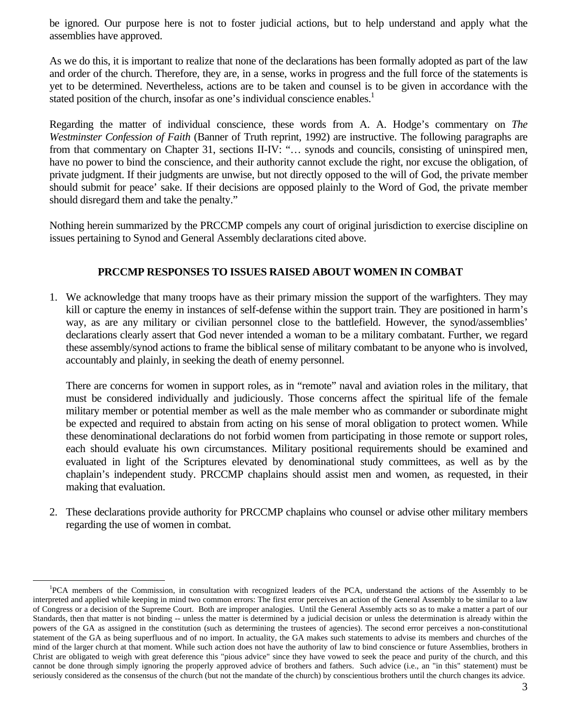be ignored. Our purpose here is not to foster judicial actions, but to help understand and apply what the assemblies have approved.

As we do this, it is important to realize that none of the declarations has been formally adopted as part of the law and order of the church. Therefore, they are, in a sense, works in progress and the full force of the statements is yet to be determined. Nevertheless, actions are to be taken and counsel is to be given in accordance with the stated position of the church, insofar as one's individual conscience enables.<sup>1</sup>

Regarding the matter of individual conscience, these words from A. A. Hodge's commentary on *The Westminster Confession of Faith* (Banner of Truth reprint, 1992) are instructive. The following paragraphs are from that commentary on Chapter 31, sections II-IV: "... synods and councils, consisting of uninspired men, have no power to bind the conscience, and their authority cannot exclude the right, nor excuse the obligation, of private judgment. If their judgments are unwise, but not directly opposed to the will of God, the private member should submit for peace' sake. If their decisions are opposed plainly to the Word of God, the private member should disregard them and take the penalty."

Nothing herein summarized by the PRCCMP compels any court of original jurisdiction to exercise discipline on issues pertaining to Synod and General Assembly declarations cited above.

# **PRCCMP RESPONSES TO ISSUES RAISED ABOUT WOMEN IN COMBAT**

1. We acknowledge that many troops have as their primary mission the support of the warfighters. They may kill or capture the enemy in instances of self-defense within the support train. They are positioned in harm's way, as are any military or civilian personnel close to the battlefield. However, the synod/assemblies' declarations clearly assert that God never intended a woman to be a military combatant. Further, we regard these assembly/synod actions to frame the biblical sense of military combatant to be anyone who is involved, accountably and plainly, in seeking the death of enemy personnel.

There are concerns for women in support roles, as in "remote" naval and aviation roles in the military, that must be considered individually and judiciously. Those concerns affect the spiritual life of the female military member or potential member as well as the male member who as commander or subordinate might be expected and required to abstain from acting on his sense of moral obligation to protect women. While these denominational declarations do not forbid women from participating in those remote or support roles, each should evaluate his own circumstances. Military positional requirements should be examined and evaluated in light of the Scriptures elevated by denominational study committees, as well as by the chaplain's independent study. PRCCMP chaplains should assist men and women, as requested, in their making that evaluation.

2. These declarations provide authority for PRCCMP chaplains who counsel or advise other military members regarding the use of women in combat.

 $\frac{1}{1}$ PCA members of the Commission, in consultation with recognized leaders of the PCA, understand the actions of the Assembly to be interpreted and applied while keeping in mind two common errors: The first error perceives an action of the General Assembly to be similar to a law of Congress or a decision of the Supreme Court. Both are improper analogies. Until the General Assembly acts so as to make a matter a part of our Standards, then that matter is not binding -- unless the matter is determined by a judicial decision or unless the determination is already within the powers of the GA as assigned in the constitution (such as determining the trustees of agencies). The second error perceives a non-constitutional statement of the GA as being superfluous and of no import. In actuality, the GA makes such statements to advise its members and churches of the mind of the larger church at that moment. While such action does not have the authority of law to bind conscience or future Assemblies, brothers in Christ are obligated to weigh with great deference this "pious advice" since they have vowed to seek the peace and purity of the church, and this cannot be done through simply ignoring the properly approved advice of brothers and fathers. Such advice (i.e., an "in this" statement) must be seriously considered as the consensus of the church (but not the mandate of the church) by conscientious brothers until the church changes its advice.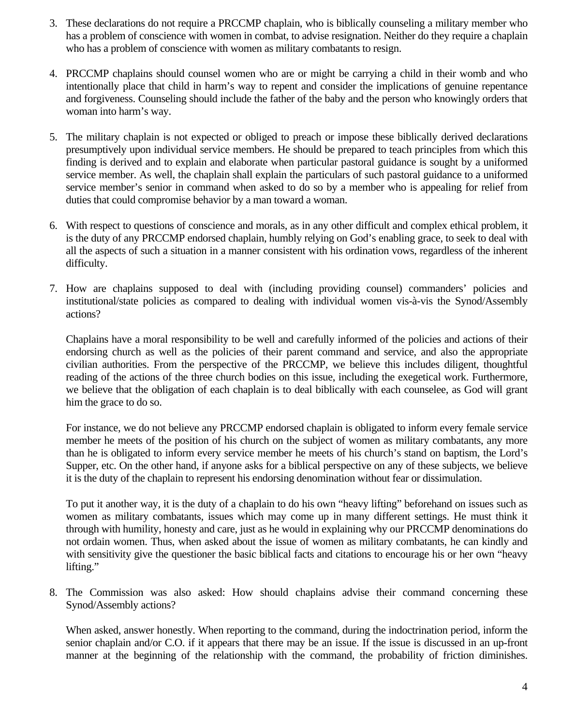- 3. These declarations do not require a PRCCMP chaplain, who is biblically counseling a military member who has a problem of conscience with women in combat, to advise resignation. Neither do they require a chaplain who has a problem of conscience with women as military combatants to resign.
- 4. PRCCMP chaplains should counsel women who are or might be carrying a child in their womb and who intentionally place that child in harm's way to repent and consider the implications of genuine repentance and forgiveness. Counseling should include the father of the baby and the person who knowingly orders that woman into harm's way.
- 5. The military chaplain is not expected or obliged to preach or impose these biblically derived declarations presumptively upon individual service members. He should be prepared to teach principles from which this finding is derived and to explain and elaborate when particular pastoral guidance is sought by a uniformed service member. As well, the chaplain shall explain the particulars of such pastoral guidance to a uniformed service member's senior in command when asked to do so by a member who is appealing for relief from duties that could compromise behavior by a man toward a woman.
- 6. With respect to questions of conscience and morals, as in any other difficult and complex ethical problem, it is the duty of any PRCCMP endorsed chaplain, humbly relying on God's enabling grace, to seek to deal with all the aspects of such a situation in a manner consistent with his ordination vows, regardless of the inherent difficulty.
- 7. How are chaplains supposed to deal with (including providing counsel) commanders' policies and institutional/state policies as compared to dealing with individual women vis-à-vis the Synod/Assembly actions?

Chaplains have a moral responsibility to be well and carefully informed of the policies and actions of their endorsing church as well as the policies of their parent command and service, and also the appropriate civilian authorities. From the perspective of the PRCCMP, we believe this includes diligent, thoughtful reading of the actions of the three church bodies on this issue, including the exegetical work. Furthermore, we believe that the obligation of each chaplain is to deal biblically with each counselee, as God will grant him the grace to do so.

For instance, we do not believe any PRCCMP endorsed chaplain is obligated to inform every female service member he meets of the position of his church on the subject of women as military combatants, any more than he is obligated to inform every service member he meets of his church's stand on baptism, the Lord's Supper, etc. On the other hand, if anyone asks for a biblical perspective on any of these subjects, we believe it is the duty of the chaplain to represent his endorsing denomination without fear or dissimulation.

To put it another way, it is the duty of a chaplain to do his own "heavy lifting" beforehand on issues such as women as military combatants, issues which may come up in many different settings. He must think it through with humility, honesty and care, just as he would in explaining why our PRCCMP denominations do not ordain women. Thus, when asked about the issue of women as military combatants, he can kindly and with sensitivity give the questioner the basic biblical facts and citations to encourage his or her own "heavy lifting."

8. The Commission was also asked: How should chaplains advise their command concerning these Synod/Assembly actions?

When asked, answer honestly. When reporting to the command, during the indoctrination period, inform the senior chaplain and/or C.O. if it appears that there may be an issue. If the issue is discussed in an up-front manner at the beginning of the relationship with the command, the probability of friction diminishes.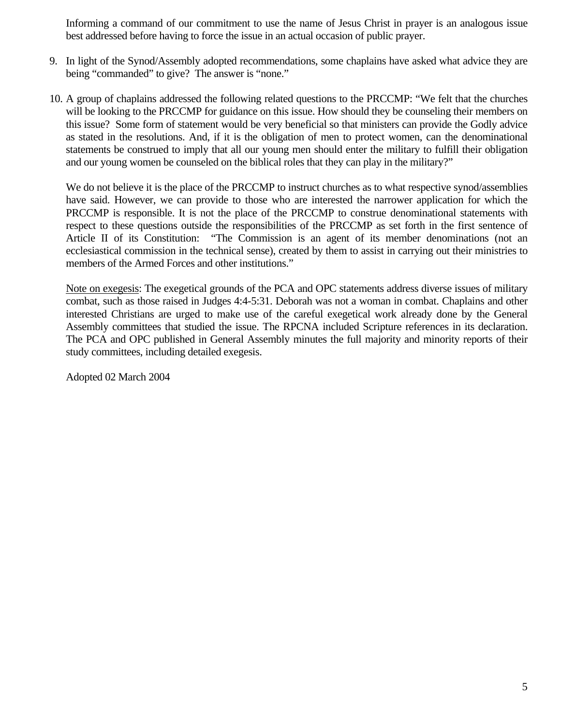Informing a command of our commitment to use the name of Jesus Christ in prayer is an analogous issue best addressed before having to force the issue in an actual occasion of public prayer.

- 9. In light of the Synod/Assembly adopted recommendations, some chaplains have asked what advice they are being "commanded" to give? The answer is "none."
- 10. A group of chaplains addressed the following related questions to the PRCCMP: "We felt that the churches will be looking to the PRCCMP for guidance on this issue. How should they be counseling their members on this issue? Some form of statement would be very beneficial so that ministers can provide the Godly advice as stated in the resolutions. And, if it is the obligation of men to protect women, can the denominational statements be construed to imply that all our young men should enter the military to fulfill their obligation and our young women be counseled on the biblical roles that they can play in the military?"

We do not believe it is the place of the PRCCMP to instruct churches as to what respective synod/assemblies have said. However, we can provide to those who are interested the narrower application for which the PRCCMP is responsible. It is not the place of the PRCCMP to construe denominational statements with respect to these questions outside the responsibilities of the PRCCMP as set forth in the first sentence of Article II of its Constitution: "The Commission is an agent of its member denominations (not an ecclesiastical commission in the technical sense), created by them to assist in carrying out their ministries to members of the Armed Forces and other institutions."

Note on exegesis: The exegetical grounds of the PCA and OPC statements address diverse issues of military combat, such as those raised in Judges 4:4-5:31. Deborah was not a woman in combat. Chaplains and other interested Christians are urged to make use of the careful exegetical work already done by the General Assembly committees that studied the issue. The RPCNA included Scripture references in its declaration. The PCA and OPC published in General Assembly minutes the full majority and minority reports of their study committees, including detailed exegesis.

Adopted 02 March 2004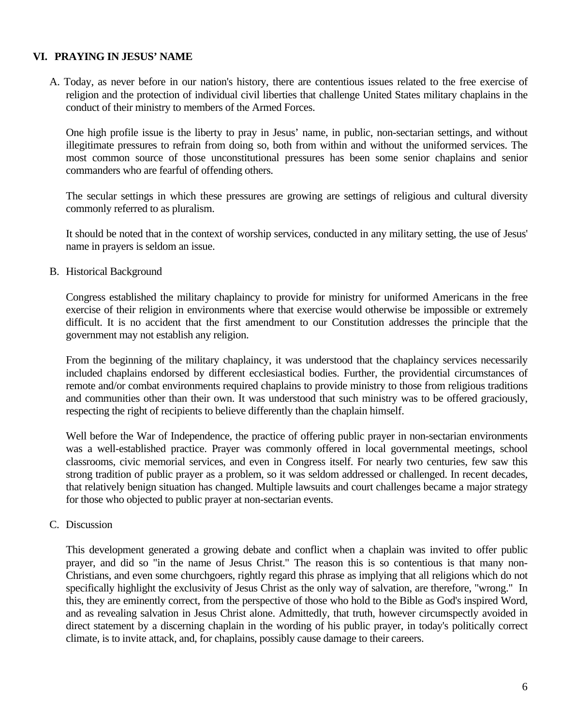# **VI. PRAYING IN JESUS' NAME**

A. Today, as never before in our nation's history, there are contentious issues related to the free exercise of religion and the protection of individual civil liberties that challenge United States military chaplains in the conduct of their ministry to members of the Armed Forces.

One high profile issue is the liberty to pray in Jesus' name, in public, non-sectarian settings, and without illegitimate pressures to refrain from doing so, both from within and without the uniformed services. The most common source of those unconstitutional pressures has been some senior chaplains and senior commanders who are fearful of offending others.

The secular settings in which these pressures are growing are settings of religious and cultural diversity commonly referred to as pluralism.

It should be noted that in the context of worship services, conducted in any military setting, the use of Jesus' name in prayers is seldom an issue.

B. Historical Background

Congress established the military chaplaincy to provide for ministry for uniformed Americans in the free exercise of their religion in environments where that exercise would otherwise be impossible or extremely difficult. It is no accident that the first amendment to our Constitution addresses the principle that the government may not establish any religion.

From the beginning of the military chaplaincy, it was understood that the chaplaincy services necessarily included chaplains endorsed by different ecclesiastical bodies. Further, the providential circumstances of remote and/or combat environments required chaplains to provide ministry to those from religious traditions and communities other than their own. It was understood that such ministry was to be offered graciously, respecting the right of recipients to believe differently than the chaplain himself.

Well before the War of Independence, the practice of offering public prayer in non-sectarian environments was a well-established practice. Prayer was commonly offered in local governmental meetings, school classrooms, civic memorial services, and even in Congress itself. For nearly two centuries, few saw this strong tradition of public prayer as a problem, so it was seldom addressed or challenged. In recent decades, that relatively benign situation has changed. Multiple lawsuits and court challenges became a major strategy for those who objected to public prayer at non-sectarian events.

#### C. Discussion

This development generated a growing debate and conflict when a chaplain was invited to offer public prayer, and did so "in the name of Jesus Christ." The reason this is so contentious is that many non-Christians, and even some churchgoers, rightly regard this phrase as implying that all religions which do not specifically highlight the exclusivity of Jesus Christ as the only way of salvation, are therefore, "wrong." In this, they are eminently correct, from the perspective of those who hold to the Bible as God's inspired Word, and as revealing salvation in Jesus Christ alone. Admittedly, that truth, however circumspectly avoided in direct statement by a discerning chaplain in the wording of his public prayer, in today's politically correct climate, is to invite attack, and, for chaplains, possibly cause damage to their careers.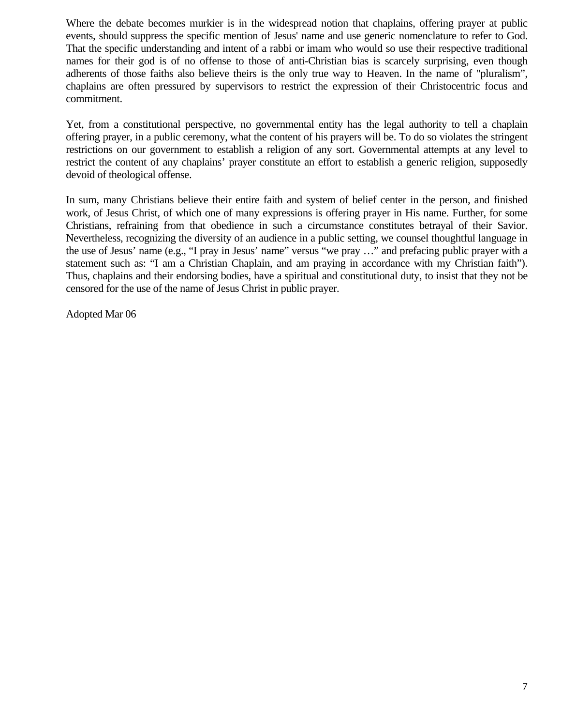Where the debate becomes murkier is in the widespread notion that chaplains, offering prayer at public events, should suppress the specific mention of Jesus' name and use generic nomenclature to refer to God. That the specific understanding and intent of a rabbi or imam who would so use their respective traditional names for their god is of no offense to those of anti-Christian bias is scarcely surprising, even though adherents of those faiths also believe theirs is the only true way to Heaven. In the name of "pluralism", chaplains are often pressured by supervisors to restrict the expression of their Christocentric focus and commitment.

Yet, from a constitutional perspective, no governmental entity has the legal authority to tell a chaplain offering prayer, in a public ceremony, what the content of his prayers will be. To do so violates the stringent restrictions on our government to establish a religion of any sort. Governmental attempts at any level to restrict the content of any chaplains' prayer constitute an effort to establish a generic religion, supposedly devoid of theological offense.

In sum, many Christians believe their entire faith and system of belief center in the person, and finished work, of Jesus Christ, of which one of many expressions is offering prayer in His name. Further, for some Christians, refraining from that obedience in such a circumstance constitutes betrayal of their Savior. Nevertheless, recognizing the diversity of an audience in a public setting, we counsel thoughtful language in the use of Jesus' name (e.g., "I pray in Jesus' name" versus "we pray …" and prefacing public prayer with a statement such as: "I am a Christian Chaplain, and am praying in accordance with my Christian faith"). Thus, chaplains and their endorsing bodies, have a spiritual and constitutional duty, to insist that they not be censored for the use of the name of Jesus Christ in public prayer.

Adopted Mar 06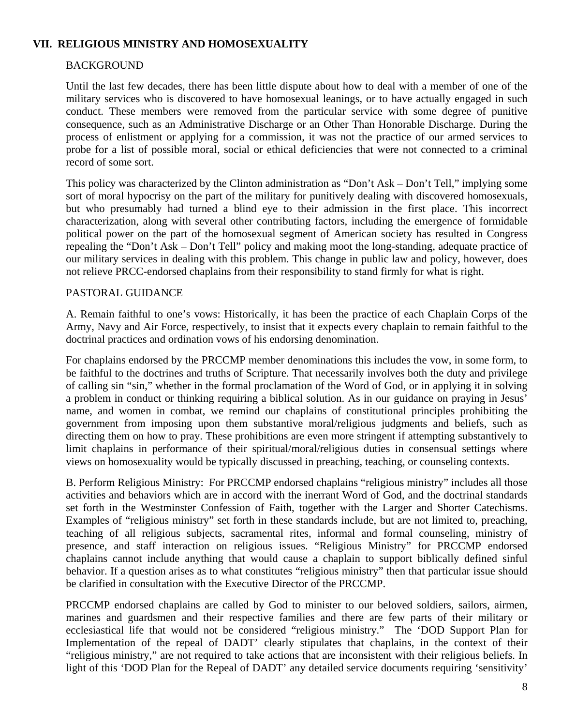## **VII. RELIGIOUS MINISTRY AND HOMOSEXUALITY**

# BACKGROUND

Until the last few decades, there has been little dispute about how to deal with a member of one of the military services who is discovered to have homosexual leanings, or to have actually engaged in such conduct. These members were removed from the particular service with some degree of punitive consequence, such as an Administrative Discharge or an Other Than Honorable Discharge. During the process of enlistment or applying for a commission, it was not the practice of our armed services to probe for a list of possible moral, social or ethical deficiencies that were not connected to a criminal record of some sort.

This policy was characterized by the Clinton administration as "Don't Ask – Don't Tell," implying some sort of moral hypocrisy on the part of the military for punitively dealing with discovered homosexuals, but who presumably had turned a blind eye to their admission in the first place. This incorrect characterization, along with several other contributing factors, including the emergence of formidable political power on the part of the homosexual segment of American society has resulted in Congress repealing the "Don't Ask – Don't Tell" policy and making moot the long-standing, adequate practice of our military services in dealing with this problem. This change in public law and policy, however, does not relieve PRCC-endorsed chaplains from their responsibility to stand firmly for what is right.

## PASTORAL GUIDANCE

A. Remain faithful to one's vows: Historically, it has been the practice of each Chaplain Corps of the Army, Navy and Air Force, respectively, to insist that it expects every chaplain to remain faithful to the doctrinal practices and ordination vows of his endorsing denomination.

For chaplains endorsed by the PRCCMP member denominations this includes the vow, in some form, to be faithful to the doctrines and truths of Scripture. That necessarily involves both the duty and privilege of calling sin "sin," whether in the formal proclamation of the Word of God, or in applying it in solving a problem in conduct or thinking requiring a biblical solution. As in our guidance on praying in Jesus' name, and women in combat, we remind our chaplains of constitutional principles prohibiting the government from imposing upon them substantive moral/religious judgments and beliefs, such as directing them on how to pray. These prohibitions are even more stringent if attempting substantively to limit chaplains in performance of their spiritual/moral/religious duties in consensual settings where views on homosexuality would be typically discussed in preaching, teaching, or counseling contexts.

B. Perform Religious Ministry: For PRCCMP endorsed chaplains "religious ministry" includes all those activities and behaviors which are in accord with the inerrant Word of God, and the doctrinal standards set forth in the Westminster Confession of Faith, together with the Larger and Shorter Catechisms. Examples of "religious ministry" set forth in these standards include, but are not limited to, preaching, teaching of all religious subjects, sacramental rites, informal and formal counseling, ministry of presence, and staff interaction on religious issues. "Religious Ministry" for PRCCMP endorsed chaplains cannot include anything that would cause a chaplain to support biblically defined sinful behavior. If a question arises as to what constitutes "religious ministry" then that particular issue should be clarified in consultation with the Executive Director of the PRCCMP.

PRCCMP endorsed chaplains are called by God to minister to our beloved soldiers, sailors, airmen, marines and guardsmen and their respective families and there are few parts of their military or ecclesiastical life that would not be considered "religious ministry." The 'DOD Support Plan for Implementation of the repeal of DADT' clearly stipulates that chaplains, in the context of their "religious ministry," are not required to take actions that are inconsistent with their religious beliefs. In light of this 'DOD Plan for the Repeal of DADT' any detailed service documents requiring 'sensitivity'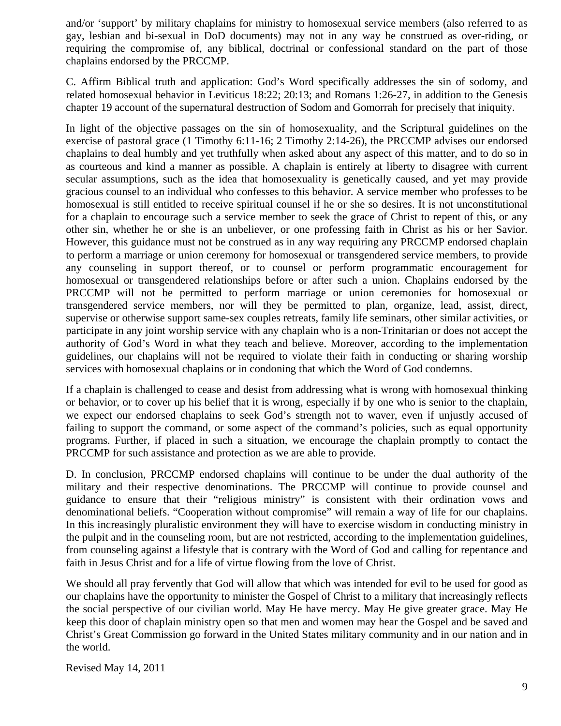and/or 'support' by military chaplains for ministry to homosexual service members (also referred to as gay, lesbian and bi-sexual in DoD documents) may not in any way be construed as over-riding, or requiring the compromise of, any biblical, doctrinal or confessional standard on the part of those chaplains endorsed by the PRCCMP.

C. Affirm Biblical truth and application: God's Word specifically addresses the sin of sodomy, and related homosexual behavior in Leviticus 18:22; 20:13; and Romans 1:26-27, in addition to the Genesis chapter 19 account of the supernatural destruction of Sodom and Gomorrah for precisely that iniquity.

In light of the objective passages on the sin of homosexuality, and the Scriptural guidelines on the exercise of pastoral grace (1 Timothy 6:11-16; 2 Timothy 2:14-26), the PRCCMP advises our endorsed chaplains to deal humbly and yet truthfully when asked about any aspect of this matter, and to do so in as courteous and kind a manner as possible. A chaplain is entirely at liberty to disagree with current secular assumptions, such as the idea that homosexuality is genetically caused, and yet may provide gracious counsel to an individual who confesses to this behavior. A service member who professes to be homosexual is still entitled to receive spiritual counsel if he or she so desires. It is not unconstitutional for a chaplain to encourage such a service member to seek the grace of Christ to repent of this, or any other sin, whether he or she is an unbeliever, or one professing faith in Christ as his or her Savior. However, this guidance must not be construed as in any way requiring any PRCCMP endorsed chaplain to perform a marriage or union ceremony for homosexual or transgendered service members, to provide any counseling in support thereof, or to counsel or perform programmatic encouragement for homosexual or transgendered relationships before or after such a union. Chaplains endorsed by the PRCCMP will not be permitted to perform marriage or union ceremonies for homosexual or transgendered service members, nor will they be permitted to plan, organize, lead, assist, direct, supervise or otherwise support same-sex couples retreats, family life seminars, other similar activities, or participate in any joint worship service with any chaplain who is a non-Trinitarian or does not accept the authority of God's Word in what they teach and believe. Moreover, according to the implementation guidelines, our chaplains will not be required to violate their faith in conducting or sharing worship services with homosexual chaplains or in condoning that which the Word of God condemns.

If a chaplain is challenged to cease and desist from addressing what is wrong with homosexual thinking or behavior, or to cover up his belief that it is wrong, especially if by one who is senior to the chaplain, we expect our endorsed chaplains to seek God's strength not to waver, even if unjustly accused of failing to support the command, or some aspect of the command's policies, such as equal opportunity programs. Further, if placed in such a situation, we encourage the chaplain promptly to contact the PRCCMP for such assistance and protection as we are able to provide.

D. In conclusion, PRCCMP endorsed chaplains will continue to be under the dual authority of the military and their respective denominations. The PRCCMP will continue to provide counsel and guidance to ensure that their "religious ministry" is consistent with their ordination vows and denominational beliefs. "Cooperation without compromise" will remain a way of life for our chaplains. In this increasingly pluralistic environment they will have to exercise wisdom in conducting ministry in the pulpit and in the counseling room, but are not restricted, according to the implementation guidelines, from counseling against a lifestyle that is contrary with the Word of God and calling for repentance and faith in Jesus Christ and for a life of virtue flowing from the love of Christ.

We should all pray fervently that God will allow that which was intended for evil to be used for good as our chaplains have the opportunity to minister the Gospel of Christ to a military that increasingly reflects the social perspective of our civilian world. May He have mercy. May He give greater grace. May He keep this door of chaplain ministry open so that men and women may hear the Gospel and be saved and Christ's Great Commission go forward in the United States military community and in our nation and in the world.

Revised May 14, 2011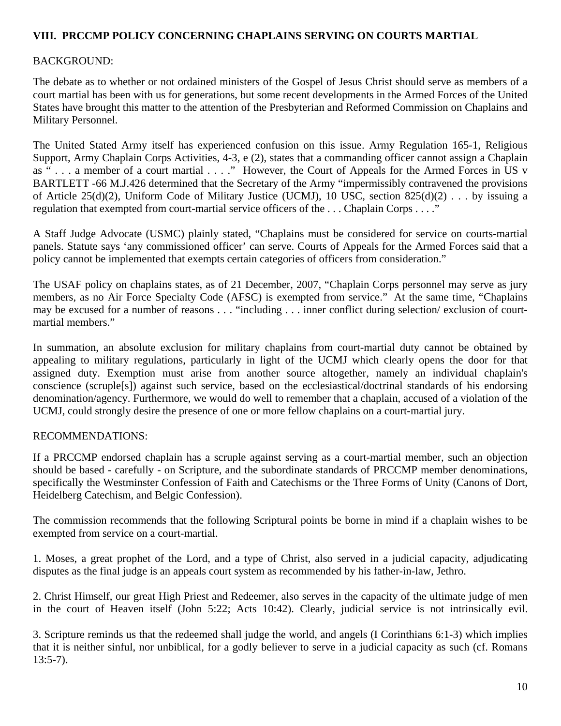# **VIII. PRCCMP POLICY CONCERNING CHAPLAINS SERVING ON COURTS MARTIAL**

# BACKGROUND:

The debate as to whether or not ordained ministers of the Gospel of Jesus Christ should serve as members of a court martial has been with us for generations, but some recent developments in the Armed Forces of the United States have brought this matter to the attention of the Presbyterian and Reformed Commission on Chaplains and Military Personnel.

The United Stated Army itself has experienced confusion on this issue. Army Regulation 165-1, Religious Support, Army Chaplain Corps Activities, 4-3, e (2), states that a commanding officer cannot assign a Chaplain as " . . . a member of a court martial . . . ." However, the Court of Appeals for the Armed Forces in US v BARTLETT -66 M.J.426 determined that the Secretary of the Army "impermissibly contravened the provisions of Article 25(d)(2), Uniform Code of Military Justice (UCMJ), 10 USC, section 825(d)(2) . . . by issuing a regulation that exempted from court-martial service officers of the . . . Chaplain Corps . . . ."

A Staff Judge Advocate (USMC) plainly stated, "Chaplains must be considered for service on courts-martial panels. Statute says 'any commissioned officer' can serve. Courts of Appeals for the Armed Forces said that a policy cannot be implemented that exempts certain categories of officers from consideration."

The USAF policy on chaplains states, as of 21 December, 2007, "Chaplain Corps personnel may serve as jury members, as no Air Force Specialty Code (AFSC) is exempted from service." At the same time, "Chaplains may be excused for a number of reasons . . . "including . . . inner conflict during selection/ exclusion of courtmartial members."

In summation, an absolute exclusion for military chaplains from court-martial duty cannot be obtained by appealing to military regulations, particularly in light of the UCMJ which clearly opens the door for that assigned duty. Exemption must arise from another source altogether, namely an individual chaplain's conscience (scruple[s]) against such service, based on the ecclesiastical/doctrinal standards of his endorsing denomination/agency. Furthermore, we would do well to remember that a chaplain, accused of a violation of the UCMJ, could strongly desire the presence of one or more fellow chaplains on a court-martial jury.

## RECOMMENDATIONS:

If a PRCCMP endorsed chaplain has a scruple against serving as a court-martial member, such an objection should be based - carefully - on Scripture, and the subordinate standards of PRCCMP member denominations, specifically the Westminster Confession of Faith and Catechisms or the Three Forms of Unity (Canons of Dort, Heidelberg Catechism, and Belgic Confession).

The commission recommends that the following Scriptural points be borne in mind if a chaplain wishes to be exempted from service on a court-martial.

1. Moses, a great prophet of the Lord, and a type of Christ, also served in a judicial capacity, adjudicating disputes as the final judge is an appeals court system as recommended by his father-in-law, Jethro.

2. Christ Himself, our great High Priest and Redeemer, also serves in the capacity of the ultimate judge of men in the court of Heaven itself (John 5:22; Acts 10:42). Clearly, judicial service is not intrinsically evil.

3. Scripture reminds us that the redeemed shall judge the world, and angels (I Corinthians 6:1-3) which implies that it is neither sinful, nor unbiblical, for a godly believer to serve in a judicial capacity as such (cf. Romans  $13:5-7$ ).